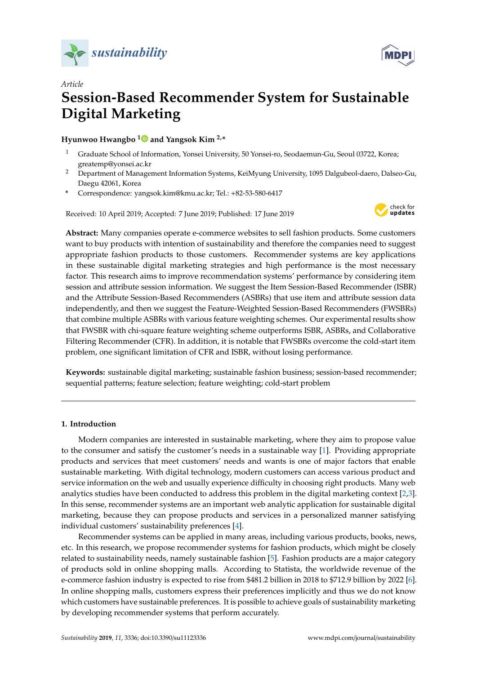



# *Article* **Session-Based Recommender System for Sustainable Digital Marketing**

# **Hyunwoo Hwangbo [1](https://orcid.org/0000-0001-6649-2587) and Yangsok Kim 2,\***

- <sup>1</sup> Graduate School of Information, Yonsei University, 50 Yonsei-ro, Seodaemun-Gu, Seoul 03722, Korea; greatemp@yonsei.ac.kr
- <sup>2</sup> Department of Management Information Systems, KeiMyung University, 1095 Dalgubeol-daero, Dalseo-Gu, Daegu 42061, Korea
- **\*** Correspondence: yangsok.kim@kmu.ac.kr; Tel.: +82-53-580-6417

Received: 10 April 2019; Accepted: 7 June 2019; Published: 17 June 2019



**Abstract:** Many companies operate e-commerce websites to sell fashion products. Some customers want to buy products with intention of sustainability and therefore the companies need to suggest appropriate fashion products to those customers. Recommender systems are key applications in these sustainable digital marketing strategies and high performance is the most necessary factor. This research aims to improve recommendation systems' performance by considering item session and attribute session information. We suggest the Item Session-Based Recommender (ISBR) and the Attribute Session-Based Recommenders (ASBRs) that use item and attribute session data independently, and then we suggest the Feature-Weighted Session-Based Recommenders (FWSBRs) that combine multiple ASBRs with various feature weighting schemes. Our experimental results show that FWSBR with chi-square feature weighting scheme outperforms ISBR, ASBRs, and Collaborative Filtering Recommender (CFR). In addition, it is notable that FWSBRs overcome the cold-start item problem, one significant limitation of CFR and ISBR, without losing performance.

**Keywords:** sustainable digital marketing; sustainable fashion business; session-based recommender; sequential patterns; feature selection; feature weighting; cold-start problem

# **1. Introduction**

Modern companies are interested in sustainable marketing, where they aim to propose value to the consumer and satisfy the customer's needs in a sustainable way [\[1\]](#page-14-0). Providing appropriate products and services that meet customers' needs and wants is one of major factors that enable sustainable marketing. With digital technology, modern customers can access various product and service information on the web and usually experience difficulty in choosing right products. Many web analytics studies have been conducted to address this problem in the digital marketing context [\[2,](#page-14-1)[3\]](#page-14-2). In this sense, recommender systems are an important web analytic application for sustainable digital marketing, because they can propose products and services in a personalized manner satisfying individual customers' sustainability preferences [\[4\]](#page-15-0).

Recommender systems can be applied in many areas, including various products, books, news, etc. In this research, we propose recommender systems for fashion products, which might be closely related to sustainability needs, namely sustainable fashion [\[5\]](#page-15-1). Fashion products are a major category of products sold in online shopping malls. According to Statista, the worldwide revenue of the e-commerce fashion industry is expected to rise from \$481.2 billion in 2018 to \$712.9 billion by 2022 [\[6\]](#page-15-2). In online shopping malls, customers express their preferences implicitly and thus we do not know which customers have sustainable preferences. It is possible to achieve goals of sustainability marketing by developing recommender systems that perform accurately.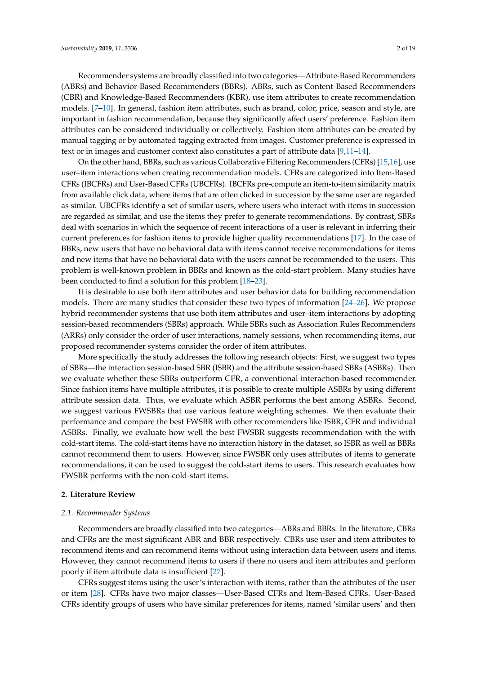Recommender systems are broadly classified into two categories—Attribute-Based Recommenders (ABRs) and Behavior-Based Recommenders (BBRs). ABRs, such as Content-Based Recommenders (CBR) and Knowledge-Based Recommenders (KBR), use item attributes to create recommendation models. [\[7–](#page-15-3)[10\]](#page-15-4). In general, fashion item attributes, such as brand, color, price, season and style, are important in fashion recommendation, because they significantly affect users' preference. Fashion item attributes can be considered individually or collectively. Fashion item attributes can be created by manual tagging or by automated tagging extracted from images. Customer preference is expressed in text or in images and customer context also constitutes a part of attribute data [\[9](#page-15-5)[,11–](#page-15-6)[14\]](#page-15-7).

On the other hand, BBRs, such as various Collaborative Filtering Recommenders (CFRs) [\[15,](#page-15-8)[16\]](#page-15-9), use user–item interactions when creating recommendation models. CFRs are categorized into Item-Based CFRs (IBCFRs) and User-Based CFRs (UBCFRs). IBCFRs pre-compute an item-to-item similarity matrix from available click data, where items that are often clicked in succession by the same user are regarded as similar. UBCFRs identify a set of similar users, where users who interact with items in succession are regarded as similar, and use the items they prefer to generate recommendations. By contrast, SBRs deal with scenarios in which the sequence of recent interactions of a user is relevant in inferring their current preferences for fashion items to provide higher quality recommendations [\[17\]](#page-15-10). In the case of BBRs, new users that have no behavioral data with items cannot receive recommendations for items and new items that have no behavioral data with the users cannot be recommended to the users. This problem is well-known problem in BBRs and known as the cold-start problem. Many studies have been conducted to find a solution for this problem [\[18–](#page-15-11)[23\]](#page-15-12).

It is desirable to use both item attributes and user behavior data for building recommendation models. There are many studies that consider these two types of information [\[24](#page-15-13)[–26\]](#page-16-0). We propose hybrid recommender systems that use both item attributes and user–item interactions by adopting session-based recommenders (SBRs) approach. While SBRs such as Association Rules Recommenders (ARRs) only consider the order of user interactions, namely sessions, when recommending items, our proposed recommender systems consider the order of item attributes.

More specifically the study addresses the following research objects: First, we suggest two types of SBRs—the interaction session-based SBR (ISBR) and the attribute session-based SBRs (ASBRs). Then we evaluate whether these SBRs outperform CFR, a conventional interaction-based recommender. Since fashion items have multiple attributes, it is possible to create multiple ASBRs by using different attribute session data. Thus, we evaluate which ASBR performs the best among ASBRs. Second, we suggest various FWSBRs that use various feature weighting schemes. We then evaluate their performance and compare the best FWSBR with other recommenders like ISBR, CFR and individual ASBRs. Finally, we evaluate how well the best FWSBR suggests recommendation with the with cold-start items. The cold-start items have no interaction history in the dataset, so ISBR as well as BBRs cannot recommend them to users. However, since FWSBR only uses attributes of items to generate recommendations, it can be used to suggest the cold-start items to users. This research evaluates how FWSBR performs with the non-cold-start items.

## **2. Literature Review**

#### *2.1. Recommender Systems*

Recommenders are broadly classified into two categories—ABRs and BBRs. In the literature, CBRs and CFRs are the most significant ABR and BBR respectively. CBRs use user and item attributes to recommend items and can recommend items without using interaction data between users and items. However, they cannot recommend items to users if there no users and item attributes and perform poorly if item attribute data is insufficient [\[27\]](#page-16-1).

CFRs suggest items using the user's interaction with items, rather than the attributes of the user or item [\[28\]](#page-16-2). CFRs have two major classes—User-Based CFRs and Item-Based CFRs. User-Based CFRs identify groups of users who have similar preferences for items, named 'similar users' and then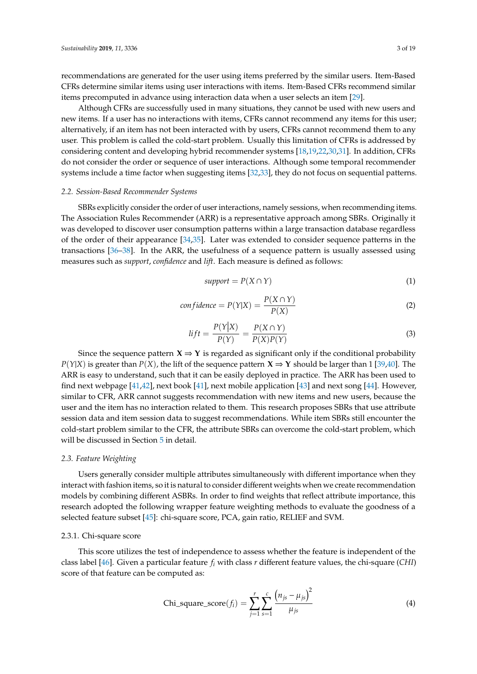recommendations are generated for the user using items preferred by the similar users. Item-Based CFRs determine similar items using user interactions with items. Item-Based CFRs recommend similar items precomputed in advance using interaction data when a user selects an item [\[29\]](#page-16-3).

Although CFRs are successfully used in many situations, they cannot be used with new users and new items. If a user has no interactions with items, CFRs cannot recommend any items for this user; alternatively, if an item has not been interacted with by users, CFRs cannot recommend them to any user. This problem is called the cold-start problem. Usually this limitation of CFRs is addressed by considering content and developing hybrid recommender systems [\[18,](#page-15-11)[19,](#page-15-14)[22,](#page-15-15)[30](#page-16-4)[,31\]](#page-16-5). In addition, CFRs do not consider the order or sequence of user interactions. Although some temporal recommender systems include a time factor when suggesting items [\[32](#page-16-6)[,33\]](#page-16-7), they do not focus on sequential patterns.

#### *2.2. Session-Based Recommender Systems*

SBRs explicitly consider the order of user interactions, namely sessions, when recommending items. The Association Rules Recommender (ARR) is a representative approach among SBRs. Originally it was developed to discover user consumption patterns within a large transaction database regardless of the order of their appearance [\[34,](#page-16-8)[35\]](#page-16-9). Later was extended to consider sequence patterns in the transactions [\[36–](#page-16-10)[38\]](#page-16-11). In the ARR, the usefulness of a sequence pattern is usually assessed using measures such as *support*, *confidence* and *lift*. Each measure is defined as follows:

$$
support = P(X \cap Y) \tag{1}
$$

$$
confidence = P(Y|X) = \frac{P(X \cap Y)}{P(X)}
$$
\n(2)

$$
lift = \frac{P(Y|X)}{P(Y)} = \frac{P(X \cap Y)}{P(X)P(Y)} \tag{3}
$$

Since the sequence pattern  $X \Rightarrow Y$  is regarded as significant only if the conditional probability  $P(Y|X)$  is greater than  $P(X)$ , the lift of the sequence pattern  $X \Rightarrow Y$  should be larger than 1 [\[39](#page-16-12)[,40\]](#page-16-13). The ARR is easy to understand, such that it can be easily deployed in practice. The ARR has been used to find next webpage [\[41,](#page-16-14)[42\]](#page-16-15), next book [\[41\]](#page-16-14), next mobile application [\[43\]](#page-16-16) and next song [\[44\]](#page-16-17). However, similar to CFR, ARR cannot suggests recommendation with new items and new users, because the user and the item has no interaction related to them. This research proposes SBRs that use attribute session data and item session data to suggest recommendations. While item SBRs still encounter the cold-start problem similar to the CFR, the attribute SBRs can overcome the cold-start problem, which will be discussed in Section [5](#page-10-0) in detail.

### *2.3. Feature Weighting*

Users generally consider multiple attributes simultaneously with different importance when they interact with fashion items, so it is natural to consider different weights when we create recommendation models by combining different ASBRs. In order to find weights that reflect attribute importance, this research adopted the following wrapper feature weighting methods to evaluate the goodness of a selected feature subset [\[45\]](#page-16-18): chi-square score, PCA, gain ratio, RELIEF and SVM.

#### 2.3.1. Chi-square score

This score utilizes the test of independence to assess whether the feature is independent of the class label [\[46\]](#page-16-19). Given a particular feature *f<sup>i</sup>* with class *r* different feature values, the chi-square (*CHI*) score of that feature can be computed as:

Chi-square\_score
$$
(f_i)
$$
 = 
$$
\sum_{j=1}^{r} \sum_{s=1}^{c} \frac{(n_{js} - \mu_{js})^2}{\mu_{js}}
$$
(4)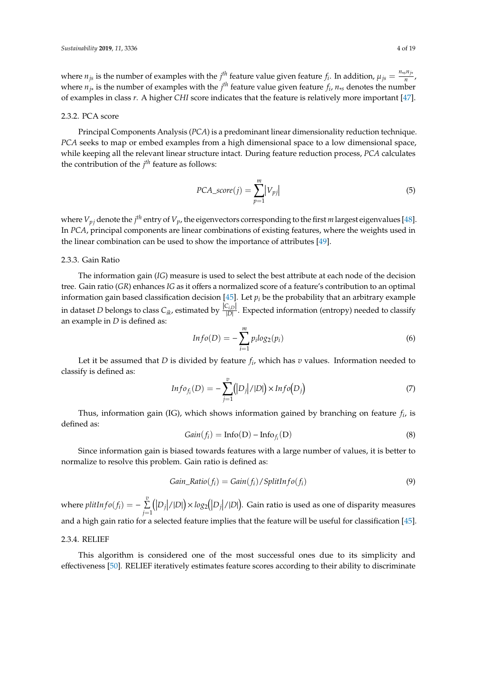where  $n_{js}$  is the number of examples with the *j<sup>th</sup>* feature value given feature  $f_i$ . In addition,  $\mu_{js} = \frac{n_{*s}n_{js}}{n}$  $\frac{\frac{s-1}{s}}{n}$ , where *nj*<sup>∗</sup> is the number of examples with the *j th* feature value given feature *f<sup>i</sup>* , *n*∗*<sup>s</sup>* denotes the number of examples in class *r*. A higher *CHI* score indicates that the feature is relatively more important [\[47\]](#page-17-0).

#### 2.3.2. PCA score

Principal Components Analysis (*PCA*) is a predominant linear dimensionality reduction technique. *PCA* seeks to map or embed examples from a high dimensional space to a low dimensional space, while keeping all the relevant linear structure intact. During feature reduction process, *PCA* calculates the contribution of the *j th* feature as follows:

$$
PCA\_score(j) = \sum_{p=1}^{m} |V_{pj}|
$$
\n(5)

where  $V_{pj}$  denote the  $j^{th}$  entry of  $V_p$ , the eigenvectors corresponding to the first *m* largest eigenvalues [\[48\]](#page-17-1). In *PCA*, principal components are linear combinations of existing features, where the weights used in the linear combination can be used to show the importance of attributes [\[49\]](#page-17-2).

## 2.3.3. Gain Ratio

The information gain (*IG*) measure is used to select the best attribute at each node of the decision tree. Gain ratio (*GR*) enhances *IG* as it offers a normalized score of a feature's contribution to an optimal information gain based classification decision [ $45$ ]. Let  $p_i$  be the probability that an arbitrary example in dataset *D* belongs to class  $C_{ik}$ , estimated by  $\frac{|C_{i,D}|}{|D|}$ . Expected information (entropy) needed to classify an example in *D* is defined as:

$$
Info(D) = -\sum_{i=1}^{m} p_i log_2(p_i)
$$
\n(6)

Let it be assumed that *D* is divided by feature *f<sup>i</sup>* , which has *v* values. Information needed to classify is defined as:

$$
Info_{f_i}(D) = -\sum_{j=1}^{v} (|D_j|/|D|) \times Info(D_j)
$$
\n<sup>(7)</sup>

Thus, information gain (IG), which shows information gained by branching on feature *f<sup>i</sup>* , is defined as:

$$
Gain(f_i) = Info(D) - Info_{f_i}(D)
$$
\n(8)

Since information gain is biased towards features with a large number of values, it is better to normalize to resolve this problem. Gain ratio is defined as:

$$
Gain\_Ratio(f_i) = Gain(f_i) / SplitInfo(f_i)
$$
\n(9)

where  $\text{plitInfo}(f_i) = -\sum_{i=1}^{v}$ *j*=1  $(|D_j|/|D|) \times log_2(|D_j|/|D|)$ . Gain ratio is used as one of disparity measures and a high gain ratio for a selected feature implies that the feature will be useful for classification [\[45\]](#page-16-18).

## 2.3.4. RELIEF

This algorithm is considered one of the most successful ones due to its simplicity and effectiveness [\[50\]](#page-17-3). RELIEF iteratively estimates feature scores according to their ability to discriminate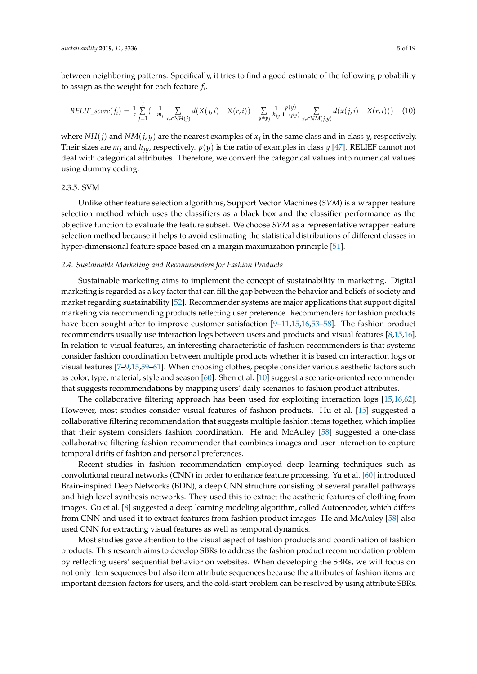between neighboring patterns. Specifically, it tries to find a good estimate of the following probability to assign as the weight for each feature *f<sup>i</sup>* .

$$
RELIF\_score(f_i) = \frac{1}{c} \sum_{j=1}^{l} \left( -\frac{1}{m_j} \sum_{x_r \in NH(j)} d(X(j, i) - X(r, i)) + \sum_{y \neq y_j} \frac{1}{h_{jy}} \frac{p(y)}{1 - (py)} \sum_{x_r \in NM(j, y)} d(x(j, i) - X(r, i)) \right)
$$
(10)

where  $NH(j)$  and  $NM(j, y)$  are the nearest examples of  $x_j$  in the same class and in class *y*, respectively. Their sizes are  $m_j$  and  $h_{jy}$ , respectively.  $p(y)$  is the ratio of examples in class *y* [\[47\]](#page-17-0). RELIEF cannot not deal with categorical attributes. Therefore, we convert the categorical values into numerical values using dummy coding.

# 2.3.5. SVM

Unlike other feature selection algorithms, Support Vector Machines (*SVM*) is a wrapper feature selection method which uses the classifiers as a black box and the classifier performance as the objective function to evaluate the feature subset. We choose *SVM* as a representative wrapper feature selection method because it helps to avoid estimating the statistical distributions of different classes in hyper-dimensional feature space based on a margin maximization principle [\[51\]](#page-17-4).

#### *2.4. Sustainable Marketing and Recommenders for Fashion Products*

Sustainable marketing aims to implement the concept of sustainability in marketing. Digital marketing is regarded as a key factor that can fill the gap between the behavior and beliefs of society and market regarding sustainability [\[52\]](#page-17-5). Recommender systems are major applications that support digital marketing via recommending products reflecting user preference. Recommenders for fashion products have been sought after to improve customer satisfaction [\[9](#page-15-5)-11,[15,](#page-15-8)[16,](#page-15-9)53-[58\]](#page-17-7). The fashion product recommenders usually use interaction logs between users and products and visual features [\[8,](#page-15-16)[15,](#page-15-8)[16\]](#page-15-9). In relation to visual features, an interesting characteristic of fashion recommenders is that systems consider fashion coordination between multiple products whether it is based on interaction logs or visual features [\[7](#page-15-3)[–9](#page-15-5)[,15,](#page-15-8)[59](#page-17-8)[–61\]](#page-17-9). When choosing clothes, people consider various aesthetic factors such as color, type, material, style and season [\[60\]](#page-17-10). Shen et al. [\[10\]](#page-15-4) suggest a scenario-oriented recommender that suggests recommendations by mapping users' daily scenarios to fashion product attributes.

The collaborative filtering approach has been used for exploiting interaction logs [\[15,](#page-15-8)[16,](#page-15-9)[62\]](#page-17-11). However, most studies consider visual features of fashion products. Hu et al. [\[15\]](#page-15-8) suggested a collaborative filtering recommendation that suggests multiple fashion items together, which implies that their system considers fashion coordination. He and McAuley [\[58\]](#page-17-7) suggested a one-class collaborative filtering fashion recommender that combines images and user interaction to capture temporal drifts of fashion and personal preferences.

Recent studies in fashion recommendation employed deep learning techniques such as convolutional neural networks (CNN) in order to enhance feature processing. Yu et al. [\[60\]](#page-17-10) introduced Brain-inspired Deep Networks (BDN), a deep CNN structure consisting of several parallel pathways and high level synthesis networks. They used this to extract the aesthetic features of clothing from images. Gu et al. [\[8\]](#page-15-16) suggested a deep learning modeling algorithm, called Autoencoder, which differs from CNN and used it to extract features from fashion product images. He and McAuley [\[58\]](#page-17-7) also used CNN for extracting visual features as well as temporal dynamics.

Most studies gave attention to the visual aspect of fashion products and coordination of fashion products. This research aims to develop SBRs to address the fashion product recommendation problem by reflecting users' sequential behavior on websites. When developing the SBRs, we will focus on not only item sequences but also item attribute sequences because the attributes of fashion items are important decision factors for users, and the cold-start problem can be resolved by using attribute SBRs.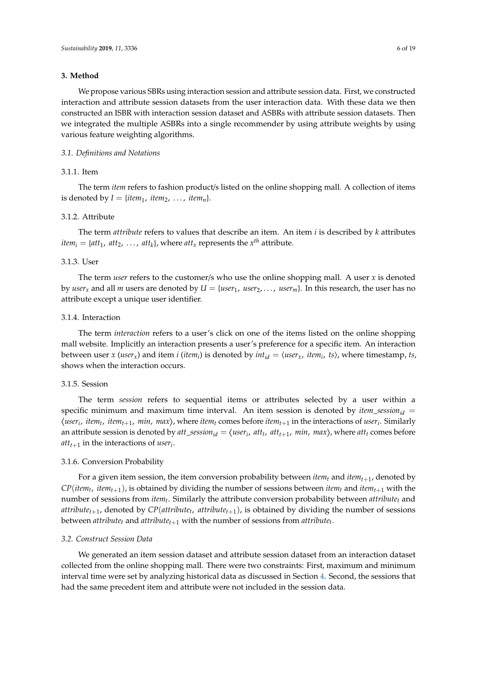## **3. Method**

We propose various SBRs using interaction session and attribute session data. First, we constructed interaction and attribute session datasets from the user interaction data. With these data we then constructed an ISBR with interaction session dataset and ASBRs with attribute session datasets. Then we integrated the multiple ASBRs into a single recommender by using attribute weights by using various feature weighting algorithms.

# <span id="page-5-0"></span>*3.1. Definitions and Notations*

# 3.1.1. Item

The term *item* refers to fashion product/s listed on the online shopping mall. A collection of items is denoted by  $I = \{item_1, item_2, ..., item_n\}.$ 

# 3.1.2. Attribute

The term *attribute* refers to values that describe an item. An item *i* is described by *k* attributes *item*<sub>*i*</sub> = { $att_1$ ,  $att_2$ , ...,  $att_k$ }, where  $att_x$  represents the  $x^{th}$  attribute.

# 3.1.3. User

The term *user* refers to the customer/s who use the online shopping mall. A user *x* is denoted by *user<sub>x</sub>* and all *m* users are denoted by  $U = \{user_1, user_2, ..., user_m\}$ . In this research, the user has no attribute except a unique user identifier.

#### 3.1.4. Interaction

The term *interaction* refers to a user's click on one of the items listed on the online shopping mall website. Implicitly an interaction presents a user's preference for a specific item. An interaction between user *x* (*user<sub>x</sub>*) and item *i* (*item*<sub>*i*</sub>) is denoted by *int*<sub>*id*</sub> =  $\langle$ *user<sub>x</sub></sub>, <i>item*<sub>*i*</sub>, *ts*), where timestamp, *ts*, shows when the interaction occurs.

## 3.1.5. Session

The term *session* refers to sequential items or attributes selected by a user within a specific minimum and maximum time interval. An item session is denoted by *item*\_*sessionid* =  $\langle user_i, item_t, item_{t+1}, min, max \rangle$ , where *item<sub>t</sub>* comes before *item<sub>t+1</sub>* in the interactions of *user<sub>i</sub>*. Similarly an attribute session is denoted by  $att\_session_{id} = \langle user_i, att_t, att_{t+1}, min, max \rangle$ , where  $att_t$  comes before  $att_{t+1}$  in the interactions of *user<sub>i</sub>*.

#### 3.1.6. Conversion Probability

For a given item session, the item conversion probability between *item* $<sub>t</sub>$  and *item* $<sub>t+1</sub>$ , denoted by</sub></sub>  $CP(item_t, item_{t+1})$ , is obtained by dividing the number of sessions between *item*<sub>t</sub> and *item*<sub>t+1</sub> with the number of sessions from *item<sup>t</sup>* . Similarly the attribute conversion probability between *attribute<sup>t</sup>* and  $attribute_{t+1}$ , denoted by  $\mathit{CP}(attribute_t, \: attribute_{t+1})$ , is obtained by dividing the number of sessions between  $\emph{attribute}_t$  and  $\emph{attribute}_{t+1}$  with the number of sessions from  $\emph{attribute}_t.$ 

## *3.2. Construct Session Data*

We generated an item session dataset and attribute session dataset from an interaction dataset collected from the online shopping mall. There were two constraints: First, maximum and minimum interval time were set by analyzing historical data as discussed in Section [4.](#page-6-0) Second, the sessions that had the same precedent item and attribute were not included in the session data.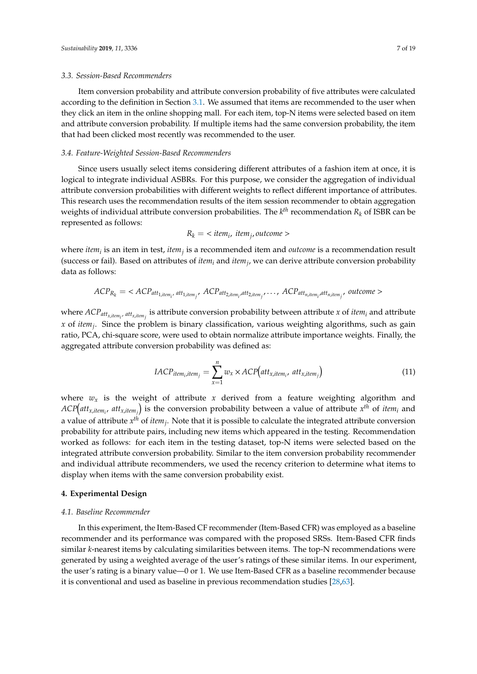#### *3.3. Session-Based Recommenders*

Item conversion probability and attribute conversion probability of five attributes were calculated according to the definition in Section [3.1.](#page-5-0) We assumed that items are recommended to the user when they click an item in the online shopping mall. For each item, top-N items were selected based on item and attribute conversion probability. If multiple items had the same conversion probability, the item that had been clicked most recently was recommended to the user.

## *3.4. Feature-Weighted Session-Based Recommenders*

Since users usually select items considering different attributes of a fashion item at once, it is logical to integrate individual ASBRs. For this purpose, we consider the aggregation of individual attribute conversion probabilities with different weights to reflect different importance of attributes. This research uses the recommendation results of the item session recommender to obtain aggregation weights of individual attribute conversion probabilities. The *k th* recommendation *R<sup>k</sup>* of ISBR can be represented as follows:

$$
R_k = \langle item_i, item_j, outcome \rangle
$$

where *item<sub>i</sub>* is an item in test, *item<sub>j</sub>* is a recommended item and *outcome* is a recommendation result (success or fail). Based on attributes of *item<sup>i</sup>* and *item<sup>j</sup>* , we can derive attribute conversion probability data as follows:

$$
ACP_{R_k} = \langle ACP_{att_{1,item_i}, att_{1,item_j}}, ACP_{att_{2,item_i}, att_{2,item_j}}, \dots, ACP_{att_{n,item_i}, att_{n,item_j}}, outcome \rangle
$$

where *ACPattx*,*itemi* , *attx*,*itemj* is attribute conversion probability between attribute *x* of *item<sup>i</sup>* and attribute *x* of *item<sup>j</sup>* . Since the problem is binary classification, various weighting algorithms, such as gain ratio, PCA, chi-square score, were used to obtain normalize attribute importance weights. Finally, the aggregated attribute conversion probability was defined as:

IACP<sub>item<sub>i</sub>,item<sub>j</sub></sub> = 
$$
\sum_{x=1}^{n} w_x \times ACP\left(att_{x,item_{i}}, att_{x,item_{j}}\right)
$$
 (11)

where  $w_x$  is the weight of attribute  $x$  derived from a feature weighting algorithm and  ${ACP}(att_{x,item_i}, att_{x,item_j})$  is the conversion probability between a value of attribute  $x^{th}$  of *item*<sub>*i*</sub> and a value of attribute *x th* of *item<sup>j</sup>* . Note that it is possible to calculate the integrated attribute conversion probability for attribute pairs, including new items which appeared in the testing. Recommendation worked as follows: for each item in the testing dataset, top-N items were selected based on the integrated attribute conversion probability. Similar to the item conversion probability recommender and individual attribute recommenders, we used the recency criterion to determine what items to display when items with the same conversion probability exist.

## <span id="page-6-0"></span>**4. Experimental Design**

## *4.1. Baseline Recommender*

In this experiment, the Item-Based CF recommender (Item-Based CFR) was employed as a baseline recommender and its performance was compared with the proposed SRSs. Item-Based CFR finds similar *k*-nearest items by calculating similarities between items. The top-N recommendations were generated by using a weighted average of the user's ratings of these similar items. In our experiment, the user's rating is a binary value—0 or 1. We use Item-Based CFR as a baseline recommender because it is conventional and used as baseline in previous recommendation studies [\[28,](#page-16-2)[63\]](#page-17-12).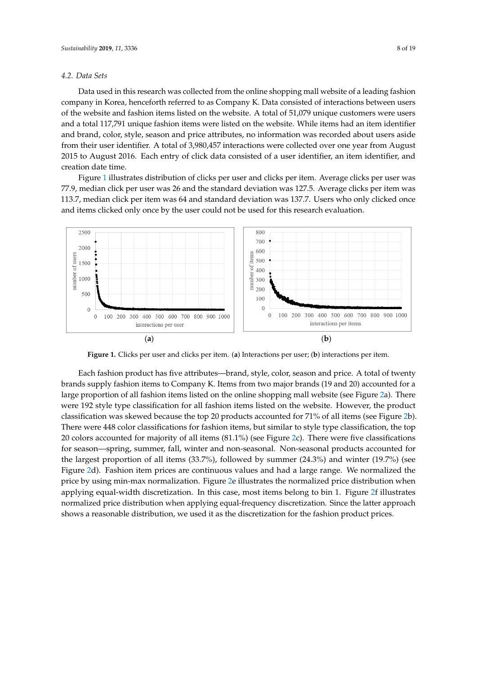#### *4.2. Data Sets*

Data used in this research was collected from the online shopping mall website of a leading fashion company in Korea, henceforth referred to as Company K. Data consisted of interactions between users of the website and fashion items listed on the website. A total of 51,079 unique customers were users and a total 117,791 unique fashion items were listed on the website. While items had an item identifier and brand, color, style, season and price attributes, no information was recorded about users aside from their user identifier. A total of 3,980,457 interactions were collected over one year from August 2015 to August 2016. Each entry of click data consisted of a user identifier, an item identifier, and creation date time.

Figure 1 illustrates distribution of clicks per user and clicks per item. Average clicks per user was Figure [1](#page-7-0) illustrates distribution of clicks per user and clicks per item. Average clicks per user 77.9, median click per user was 26 and the standard deviation was 127.5. Average clicks per item was 113.7, median click per item was 64 and standard deviation was 137.7. Users who only clicked once and items clicked only once by the user could not be used for this research evaluation.

<span id="page-7-0"></span>

Figure 1. Clicks per user and clicks per item. (a) Interactions per user; (b) interactions per item.

Each fashion product has five attributes—brand, style, color, season and price. A total of twenty Each fashion product has five attributes—brand, style, color, season and price. A total of twenty brands supply fashion items to Company K. Items from two major brands (19 and 20) accounted for brands supply fashion items to Company K. Items from two major brands (19 and 20) accounted for a a large proportion of all fashion items listed on the online shopping mall website (see Figure 2a). large proportion of all fashion items listed on the online shopping mall website (see Figure [2a](#page-8-0)). There were 192 style type classification for all fashion items listed on the website. However, the product classification was skewed because the top 20 products accounted for 71% of all items [\(se](#page-8-0)e Figure 2b). There were 448 color classifications for fashion items, but similar to style type classification, the top 20 colors accounted for majority of all items  $(81.1\%)$  (see Figure 2c). There were five classifications for season—spring, summer, fall, winter and non-seasonal. Non-seasonal products accounted for the largest proportion of all items  $(33.7%)$ , followed by summer  $(24.3%)$  and winter  $(19.7%)$  (see Figure 2d). Fashion item prices are continuous values and had a large range. We normalized the price by using min-max nor[mal](#page-8-0)ization. Figure 2e illustrates the normalized price distribution when applying equal-width discretization. In this case, most items [b](#page-8-0)elong to bin 1. Figure 2f illustrates normalized price distribution when applying equal-frequency discretization. Since the latter approach shows a reasonable distribution, we used it as the discretization for the fashion product prices.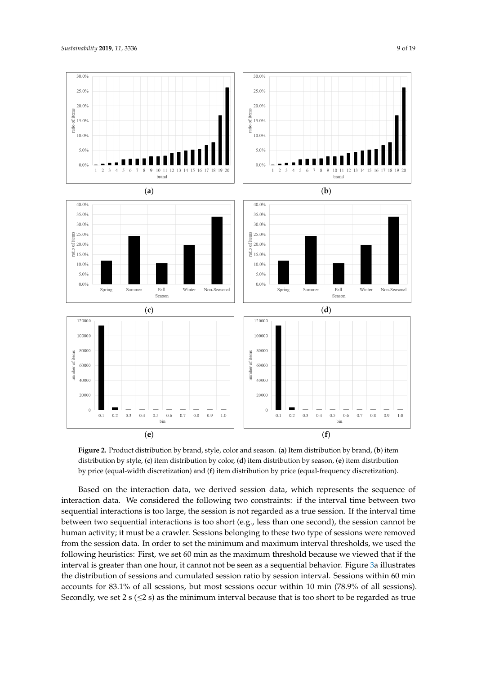<span id="page-8-0"></span>

Figure 2. Product distribution by brand, style, color and season. (a) Item distribution by brand, (b) item distribution by style,  $(c)$  item distribution by color,  $(d)$  item distribution by season,  $(e)$  item distribution distribution by price (equal-width discretization) and (**f**) item distribution by price (equal-frequency by price (equal-width discretization) and (**f**) item distribution by price (equal-frequency discretization).

interaction data. We considered the following two constraints: if the interval time between two sequential interactions is too large, the session is not regarded as a true session. If the interval time between two sequential interactions is too short (e.g., less than one second), the session cannot be human activity; it must be a crawler. Sessions belonging to these two type of sessions were removed from the session data. In order to set the minimum and maximum interval thresholds, we used the following heuristics: First, we set 60 min as the maximum threshold because we viewed that if the interval is greater than one hour, it cannot not be seen as a sequential behavior. Figure 3a illustrates the distribution of sessions and cumulated session ratio by session interval. Sessions within 60 min accounts for 83.1% of all sessions, but most sessions occur within 10 min  $(78.9%$  of all sessions). Secondly, we set 2 s ( $\leq$ 2 s) as the minimum interval because that is too short to be regarded as true Based on the interaction data, we derived session data, which represents the sequence of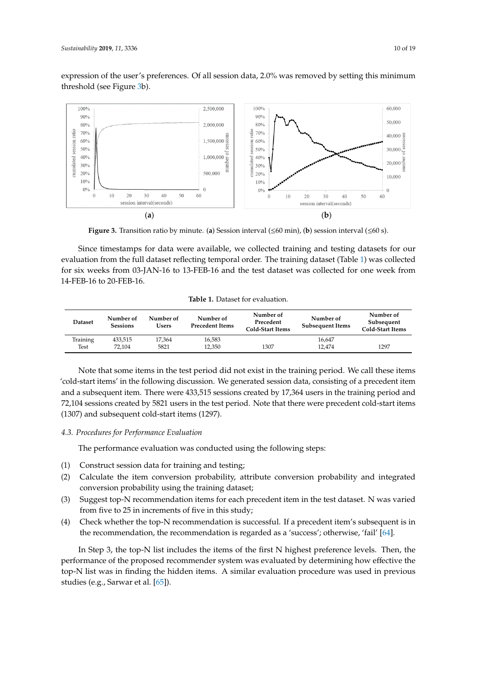expression of the user's preferences. Of all session data, 2.0% was removed by setting this minimum expression of the user's preferences. Of all session data, 2.0% was removed by setting this minimum threshold (see Figure 3b). threshold (see Figure [3b](#page-9-0)).

<span id="page-9-0"></span>

**Figure 3.** Transition ratio by minute. (**a**) Session interval (≤60 min), (**b**) session interval (≤60 s).

Since timestamps for data were available, we collected training and testing datasets for our evaluation from the full dataset reflecting temporal order. The training dataset (Table [1\)](#page-9-1) was collected for six weeks from 03-JAN-16 to 13-FEB-16 and the test dataset was collected for one week from 14-FEB-16 to 20-FEB-16.

**Table 1.** Dataset for evaluation.

<span id="page-9-1"></span>

| <b>Dataset</b> | Number of<br><b>Sessions</b> | Number of<br>Users | Number of<br><b>Precedent Items</b> | Number of<br>Precedent<br><b>Cold-Start Items</b> | Number of<br><b>Subsequent Items</b> | Number of<br>Subsequent<br><b>Cold-Start Items</b> |
|----------------|------------------------------|--------------------|-------------------------------------|---------------------------------------------------|--------------------------------------|----------------------------------------------------|
| Training       | 433,515                      | 17.364             | 16,583                              |                                                   | 16,647                               |                                                    |
| <b>Test</b>    | 72.104                       | 5821               | 12.350                              | 1307                                              | 12.474                               | 1297                                               |

Note that some items in the test period did not exist in the training period. We call these items 'cold-start items' in the following discussion. We generated session data, consisting of a precedent item and a subsequent item. There were 433,515 sessions created by 17,364 users in the training period and 72,104 sessions created by 5821 users in the test period. Note that there were precedent cold-start items (1307) and subsequent cold-start items (1297).

# *4.3. Procedures for Performance Evaluation*

The performance evaluation was conducted using the following steps:

- (1) Construct session data for training and testing;
- (2) Calculate the item conversion probability, attribute conversion probability and integrated conversion probability using the training dataset;
- (3) Suggest top-N recommendation items for each precedent item in the test dataset. N was varied from five to 25 in increments of five in this study;
- (4) Check whether the top-N recommendation is successful. If a precedent item's subsequent is in the recommendation, the recommendation is regarded as a 'success'; otherwise, 'fail' [\[64\]](#page-17-13).

In Step 3, the top-N list includes the items of the first N highest preference levels. Then, the performance of the proposed recommender system was evaluated by determining how effective the top-N list was in finding the hidden items. A similar evaluation procedure was used in previous studies (e.g., Sarwar et al. [\[65\]](#page-17-14)).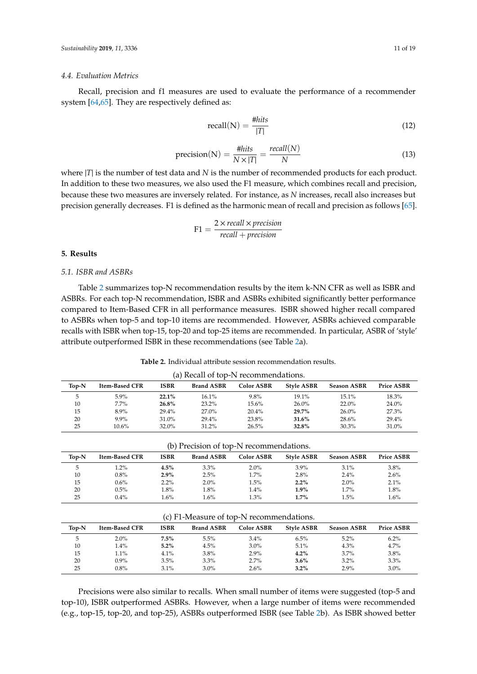### *4.4. Evaluation Metrics*

Recall, precision and f1 measures are used to evaluate the performance of a recommender system [\[64,](#page-17-13)[65\]](#page-17-14). They are respectively defined as:

$$
recall(N) = \frac{\#hits}{|T|}
$$
 (12)

$$
precision(N) = \frac{\# hits}{N \times |T|} = \frac{recall(N)}{N}
$$
\n(13)

where  $|T|$  is the number of test data and *N* is the number of recommended products for each product. In addition to these two measures, we also used the F1 measure, which combines recall and precision, because these two measures are inversely related. For instance, as *N* increases, recall also increases but precision generally decreases. F1 is defined as the harmonic mean of recall and precision as follows [\[65\]](#page-17-14).

$$
F1 = \frac{2 \times recall \times precision}{recall + precision}
$$

## <span id="page-10-0"></span>**5. Results**

# *5.1. ISBR and ASBRs*

Table [2](#page-10-1) summarizes top-N recommendation results by the item k-NN CFR as well as ISBR and ASBRs. For each top-N recommendation, ISBR and ASBRs exhibited significantly better performance compared to Item-Based CFR in all performance measures. ISBR showed higher recall compared to ASBRs when top-5 and top-10 items are recommended. However, ASBRs achieved comparable recalls with ISBR when top-15, top-20 and top-25 items are recommended. In particular, ASBR of 'style' attribute outperformed ISBR in these recommendations (see Table [2a](#page-10-1)).

**Table 2.** Individual attribute session recommendation results.

|  |  | (a) Recall of top-N recommendations. |
|--|--|--------------------------------------|
|--|--|--------------------------------------|

<span id="page-10-1"></span>

| Top-N | <b>Item-Based CFR</b> | <b>ISBR</b> | <b>Brand ASBR</b> | <b>Color ASBR</b> | <b>Style ASBR</b> | <b>Season ASBR</b> | <b>Price ASBR</b> |
|-------|-----------------------|-------------|-------------------|-------------------|-------------------|--------------------|-------------------|
|       | 5.9%                  | $22.1\%$    | $16.1\%$          | 9.8%              | $19.1\%$          | $15.1\%$           | 18.3%             |
| 10    | 7.7%                  | $26.8\%$    | $23.2\%$          | 15.6%             | $26.0\%$          | 22.0%              | 24.0%             |
| 15    | 8.9%                  | $29.4\%$    | $27.0\%$          | $20.4\%$          | $29.7\%$          | $26.0\%$           | 27.3%             |
| 20    | $9.9\%$               | 31.0%       | $29.4\%$          | 23.8%             | 31.6%             | 28.6%              | 29.4%             |
| 25    | $10.6\%$              | 32.0%       | $31.2\%$          | 26.5%             | 32.8%             | 30.3%              | 31.0%             |

(b) Precision of top-N recommendations.

| Top-N | <b>Item-Based CFR</b> | <b>ISBR</b> | <b>Brand ASBR</b> | <b>Color ASBR</b> | <b>Style ASBR</b> | <b>Season ASBR</b> | <b>Price ASBR</b> |  |  |
|-------|-----------------------|-------------|-------------------|-------------------|-------------------|--------------------|-------------------|--|--|
| h     | $1.2\%$               | $4.5\%$     | $3.3\%$           | 2.0%              | $3.9\%$           | 3.1%               | $3.8\%$           |  |  |
| 10    | 0.8%                  | $2.9\%$     | 2.5%              | 1.7%              | 2.8%              | 2.4%               | 2.6%              |  |  |
| 15    | $0.6\%$               | $2.2\%$     | 2.0%              | 1.5%              | $2.2\%$           | $2.0\%$            | 2.1%              |  |  |
| 20    | 0.5%                  | 1.8%        | 1.8%              | 1.4%              | $1.9\%$           | $1.7\%$            | 1.8%              |  |  |
| 25    | 0.4%                  | $1.6\%$     | $1.6\%$           | 1.3%              | $1.7\%$           | $1.5\%$            | $1.6\%$           |  |  |

(c) F1-Measure of top-N recommendations.

| Top-N          | <b>Item-Based CFR</b> | <b>ISBR</b> | <b>Brand ASBR</b> | <b>Color ASBR</b> | <b>Style ASBR</b> | <b>Season ASBR</b> | <b>Price ASBR</b> |
|----------------|-----------------------|-------------|-------------------|-------------------|-------------------|--------------------|-------------------|
| $\overline{ }$ | 2.0%                  | $7.5\%$     | 5.5%              | 3.4%              | 6.5%              | 5.2%               | 6.2%              |
| 10             | 1.4%                  | $5.2\%$     | 4.5%              | $3.0\%$           | 5.1%              | 4.3%               | 4.7%              |
| 15             | 1.1%                  | 4.1%        | 3.8%              | 2.9%              | $4.2\%$           | 3.7%               | $3.8\%$           |
| 20             | $0.9\%$               | 3.5%        | 3.3%              | 2.7%              | $3.6\%$           | 3.2%               | $3.3\%$           |
| 25             | 0.8%                  | 3.1%        | 3.0%              | 2.6%              | $3.2\%$           | 2.9%               | 3.0%              |

Precisions were also similar to recalls. When small number of items were suggested (top-5 and top-10), ISBR outperformed ASBRs. However, when a large number of items were recommended (e.g., top-15, top-20, and top-25), ASBRs outperformed ISBR (see Table [2b](#page-10-1)). As ISBR showed better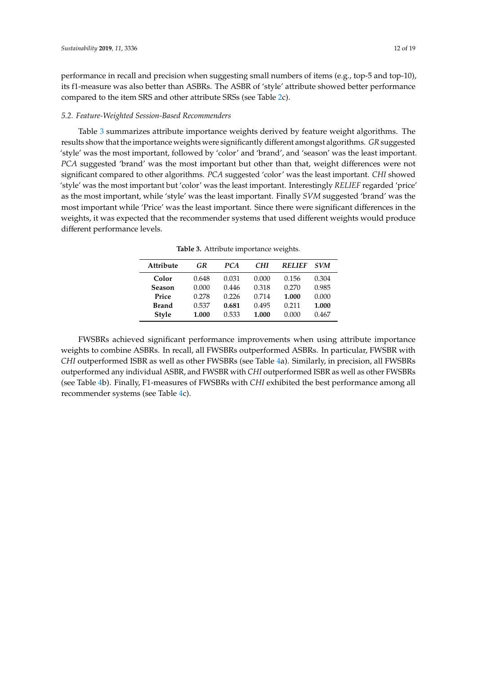performance in recall and precision when suggesting small numbers of items (e.g., top-5 and top-10), its f1-measure was also better than ASBRs. The ASBR of 'style' attribute showed better performance compared to the item SRS and other attribute SRSs (see Table [2c](#page-10-1)).

#### *5.2. Feature-Weighted Session-Based Recommenders*

Table [3](#page-11-0) summarizes attribute importance weights derived by feature weight algorithms. The results show that the importance weights were significantly different amongst algorithms. *GR* suggested 'style' was the most important, followed by 'color' and 'brand', and 'season' was the least important. *PCA* suggested 'brand' was the most important but other than that, weight differences were not significant compared to other algorithms. *PCA* suggested 'color' was the least important. *CHI* showed 'style' was the most important but 'color' was the least important. Interestingly *RELIEF* regarded 'price' as the most important, while 'style' was the least important. Finally *SVM* suggested 'brand' was the most important while 'Price' was the least important. Since there were significant differences in the weights, it was expected that the recommender systems that used different weights would produce different performance levels.

<span id="page-11-0"></span>

| Attribute     | <b>GR</b> | <b>PCA</b> | CHI   | <b>RELIEF</b> | <b>SVM</b> |
|---------------|-----------|------------|-------|---------------|------------|
| Color         | 0.648     | 0.031      | 0.000 | 0.156         | 0.304      |
| <b>Season</b> | 0.000     | 0.446      | 0.318 | 0.270         | 0.985      |
| Price         | 0.278     | 0.226      | 0.714 | 1.000         | 0.000      |
| <b>Brand</b>  | 0.537     | 0.681      | 0.495 | 0.211         | 1.000      |
| <b>Style</b>  | 1.000     | 0.533      | 1.000 | 0.000         | 0.467      |

**Table 3.** Attribute importance weights.

FWSBRs achieved significant performance improvements when using attribute importance weights to combine ASBRs. In recall, all FWSBRs outperformed ASBRs. In particular, FWSBR with *CHI* outperformed ISBR as well as other FWSBRs (see Table [4a](#page-12-0)). Similarly, in precision, all FWSBRs outperformed any individual ASBR, and FWSBR with *CHI* outperformed ISBR as well as other FWSBRs (see Table [4b](#page-12-0)). Finally, F1-measures of FWSBRs with *CHI* exhibited the best performance among all recommender systems (see Table [4c](#page-12-0)).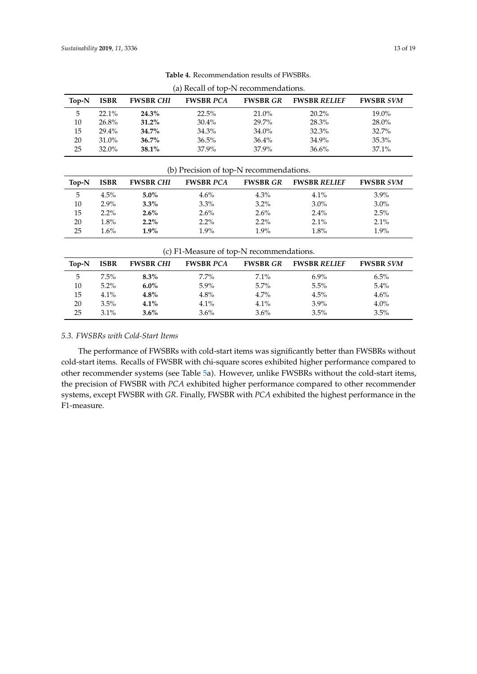<span id="page-12-0"></span>

| (a) Recall of top-N recommendations. |             |                  |                  |                 |                     |                  |  |  |
|--------------------------------------|-------------|------------------|------------------|-----------------|---------------------|------------------|--|--|
| $Top-N$                              | <b>ISBR</b> | <b>FWSBR CHI</b> | <b>FWSBR PCA</b> | <b>FWSBR GR</b> | <b>FWSBR RELIEF</b> | <b>FWSBR SVM</b> |  |  |
| 5                                    | $22.1\%$    | $24.3\%$         | 22.5%            | $21.0\%$        | $20.2\%$            | $19.0\%$         |  |  |
| 10                                   | 26.8%       | $31.2\%$         | 30.4%            | 29.7%           | 28.3%               | 28.0%            |  |  |
| 15                                   | 29.4%       | 34.7%            | 34.3%            | $34.0\%$        | 32.3%               | 32.7%            |  |  |
| 20                                   | $31.0\%$    | 36.7%            | 36.5%            | 36.4%           | 34.9%               | 35.3%            |  |  |
| 25                                   | $32.0\%$    | 38.1%            | 37.9%            | 37.9%           | 36.6%               | $37.1\%$         |  |  |

**Table 4.** Recommendation results of FWSBRs.

| (b) Precision of top-N recommendations. |             |                  |                  |                 |                     |                  |  |
|-----------------------------------------|-------------|------------------|------------------|-----------------|---------------------|------------------|--|
| Top-N                                   | <b>ISBR</b> | <b>FWSBR CHI</b> | <b>FWSBR PCA</b> | <b>FWSBR GR</b> | <b>FWSBR RELIEF</b> | <b>FWSBR SVM</b> |  |
| 5                                       | $4.5\%$     | $5.0\%$          | $4.6\%$          | $4.3\%$         | $4.1\%$             | $3.9\%$          |  |
| 10                                      | $2.9\%$     | $3.3\%$          | $3.3\%$          | $3.2\%$         | $3.0\%$             | $3.0\%$          |  |
| 15                                      | $2.2\%$     | $2.6\%$          | $2.6\%$          | $2.6\%$         | $2.4\%$             | 2.5%             |  |
| 20                                      | 1.8%        | $2.2\%$          | $2.2\%$          | $2.2\%$         | $2.1\%$             | 2.1%             |  |
| 25                                      | $1.6\%$     | $1.9\%$          | $1.9\%$          | $1.9\%$         | 1.8%                | 1.9%             |  |

(c) F1-Measure of top-N recommendations.

| Top-N | <b>ISBR</b> | <b>FWSBR CHI</b> | <b>FWSBR PCA</b> | <b>FWSBR GR</b> | <b>FWSBR RELIEF</b> | <b>FWSBR SVM</b> |
|-------|-------------|------------------|------------------|-----------------|---------------------|------------------|
| 5     | $7.5\%$     | $8.3\%$          | $7.7\%$          | $7.1\%$         | $6.9\%$             | 6.5%             |
| 10    | $5.2\%$     | $6.0\%$          | $5.9\%$          | $5.7\%$         | 5.5%                | 5.4%             |
| 15    | $4.1\%$     | $4.8\%$          | $4.8\%$          | $4.7\%$         | 4.5%                | 4.6%             |
| 20    | $3.5\%$     | $4.1\%$          | 4.1%             | 4.1%            | $3.9\%$             | $4.0\%$          |
| 25    | $3.1\%$     | $3.6\%$          | $3.6\%$          | $3.6\%$         | $3.5\%$             | 3.5%             |

## *5.3. FWSBRs with Cold-Start Items*

The performance of FWSBRs with cold-start items was significantly better than FWSBRs without cold-start items. Recalls of FWSBR with chi-square scores exhibited higher performance compared to other recommender systems (see Table [5a](#page-13-0)). However, unlike FWSBRs without the cold-start items, the precision of FWSBR with *PCA* exhibited higher performance compared to other recommender systems, except FWSBR with *GR*. Finally, FWSBR with *PCA* exhibited the highest performance in the F1-measure.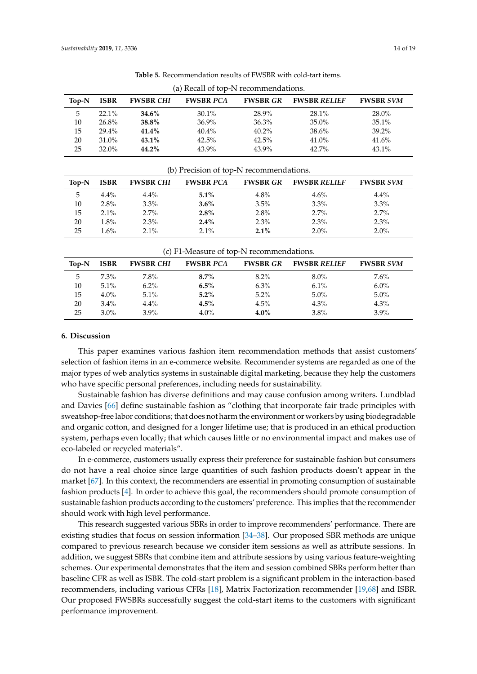<span id="page-13-0"></span>

|       | a) isetali ol top-in recommentations. |                  |                  |                 |                     |                  |  |  |  |
|-------|---------------------------------------|------------------|------------------|-----------------|---------------------|------------------|--|--|--|
| Top-N | <b>ISBR</b>                           | <b>FWSBR CHI</b> | <b>FWSBR PCA</b> | <b>FWSBR GR</b> | <b>FWSBR RELIEF</b> | <b>FWSBR SVM</b> |  |  |  |
| 5     | $22.1\%$                              | $34.6\%$         | $30.1\%$         | 28.9%           | 28.1%               | $28.0\%$         |  |  |  |
| 10    | 26.8%                                 | 38.8%            | $36.9\%$         | 36.3%           | $35.0\%$            | $35.1\%$         |  |  |  |
| 15    | $29.4\%$                              | $41.4\%$         | $40.4\%$         | $40.2\%$        | 38.6%               | $39.2\%$         |  |  |  |
| 20    | $31.0\%$                              | $43.1\%$         | 42.5%            | 42.5%           | $41.0\%$            | 41.6%            |  |  |  |
| 25    | $32.0\%$                              | $44.2\%$         | 43.9%            | 43.9%           | $42.7\%$            | 43.1%            |  |  |  |

**Table 5.** Recommendation results of FWSBR with cold-tart items.

|       | (b) Precision of top-N recommendations. |                  |                  |                 |                     |                  |  |  |  |
|-------|-----------------------------------------|------------------|------------------|-----------------|---------------------|------------------|--|--|--|
| Top-N | <b>ISBR</b>                             | <b>FWSBR CHI</b> | <b>FWSBR PCA</b> | <b>FWSBR GR</b> | <b>FWSBR RELIEF</b> | <b>FWSBR SVM</b> |  |  |  |
| 5     | $4.4\%$                                 | 4.4%             | $5.1\%$          | 4.8%            | 4.6%                | $4.4\%$          |  |  |  |
| 10    | $2.8\%$                                 | $3.3\%$          | $3.6\%$          | $3.5\%$         | $3.3\%$             | $3.3\%$          |  |  |  |
| 15    | $2.1\%$                                 | $2.7\%$          | 2.8%             | 2.8%            | 2.7%                | $2.7\%$          |  |  |  |
| 20    | $1.8\%$                                 | $2.3\%$          | $2.4\%$          | 2.3%            | 2.3%                | 2.3%             |  |  |  |
| 25    | $1.6\%$                                 | $2.1\%$          | $2.1\%$          | $2.1\%$         | $2.0\%$             | $2.0\%$          |  |  |  |

(a) Recall of top-N recommendations.

(c) F1-Measure of top-N recommendations.

| Top-N | <b>ISBR</b> | <b>FWSBR CHI</b> | <b>FWSBR PCA</b> | <b>FWSBR GR</b> | <b>FWSBR RELIEF</b> | <b>FWSBR SVM</b> |
|-------|-------------|------------------|------------------|-----------------|---------------------|------------------|
| 5     | $7.3\%$     | 7.8%             | $8.7\%$          | $8.2\%$         | $8.0\%$             | 7.6%             |
| 10    | $5.1\%$     | $6.2\%$          | $6.5\%$          | $6.3\%$         | 6.1%                | $6.0\%$          |
| 15    | $4.0\%$     | 5.1%             | $5.2\%$          | $5.2\%$         | $5.0\%$             | $5.0\%$          |
| 20    | $3.4\%$     | $4.4\%$          | $4.5\%$          | 4.5%            | $4.3\%$             | 4.3%             |
| 25    | $3.0\%$     | $3.9\%$          | $4.0\%$          | $4.0\%$         | $3.8\%$             | $3.9\%$          |

### **6. Discussion**

This paper examines various fashion item recommendation methods that assist customers' selection of fashion items in an e-commerce website. Recommender systems are regarded as one of the major types of web analytics systems in sustainable digital marketing, because they help the customers who have specific personal preferences, including needs for sustainability.

Sustainable fashion has diverse definitions and may cause confusion among writers. Lundblad and Davies [\[66\]](#page-17-15) define sustainable fashion as "clothing that incorporate fair trade principles with sweatshop-free labor conditions; that does not harm the environment or workers by using biodegradable and organic cotton, and designed for a longer lifetime use; that is produced in an ethical production system, perhaps even locally; that which causes little or no environmental impact and makes use of eco-labeled or recycled materials".

In e-commerce, customers usually express their preference for sustainable fashion but consumers do not have a real choice since large quantities of such fashion products doesn't appear in the market [\[67\]](#page-17-16). In this context, the recommenders are essential in promoting consumption of sustainable fashion products [\[4\]](#page-15-0). In order to achieve this goal, the recommenders should promote consumption of sustainable fashion products according to the customers' preference. This implies that the recommender should work with high level performance.

This research suggested various SBRs in order to improve recommenders' performance. There are existing studies that focus on session information [\[34–](#page-16-8)[38\]](#page-16-11). Our proposed SBR methods are unique compared to previous research because we consider item sessions as well as attribute sessions. In addition, we suggest SBRs that combine item and attribute sessions by using various feature-weighting schemes. Our experimental demonstrates that the item and session combined SBRs perform better than baseline CFR as well as ISBR. The cold-start problem is a significant problem in the interaction-based recommenders, including various CFRs [\[18\]](#page-15-11), Matrix Factorization recommender [\[19](#page-15-14)[,68\]](#page-18-0) and ISBR. Our proposed FWSBRs successfully suggest the cold-start items to the customers with significant performance improvement.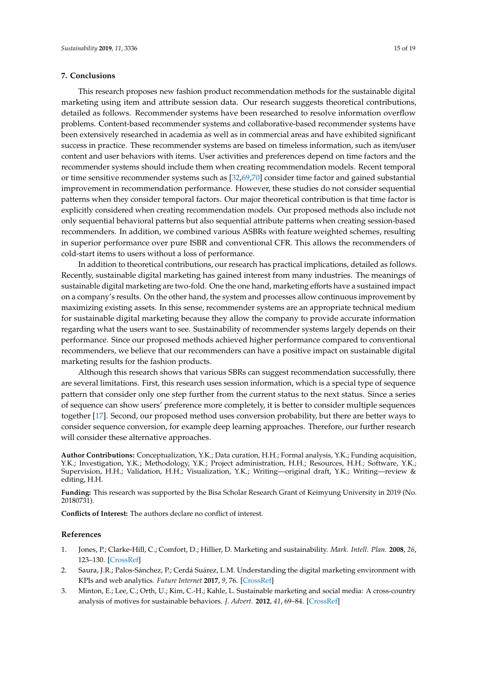## **7. Conclusions**

This research proposes new fashion product recommendation methods for the sustainable digital marketing using item and attribute session data. Our research suggests theoretical contributions, detailed as follows. Recommender systems have been researched to resolve information overflow problems. Content-based recommender systems and collaborative-based recommender systems have been extensively researched in academia as well as in commercial areas and have exhibited significant success in practice. These recommender systems are based on timeless information, such as item/user content and user behaviors with items. User activities and preferences depend on time factors and the recommender systems should include them when creating recommendation models. Recent temporal or time sensitive recommender systems such as [\[32](#page-16-6)[,69](#page-18-1)[,70\]](#page-18-2) consider time factor and gained substantial improvement in recommendation performance. However, these studies do not consider sequential patterns when they consider temporal factors. Our major theoretical contribution is that time factor is explicitly considered when creating recommendation models. Our proposed methods also include not only sequential behavioral patterns but also sequential attribute patterns when creating session-based recommenders. In addition, we combined various ASBRs with feature weighted schemes, resulting in superior performance over pure ISBR and conventional CFR. This allows the recommenders of cold-start items to users without a loss of performance.

In addition to theoretical contributions, our research has practical implications, detailed as follows. Recently, sustainable digital marketing has gained interest from many industries. The meanings of sustainable digital marketing are two-fold. One the one hand, marketing efforts have a sustained impact on a company's results. On the other hand, the system and processes allow continuous improvement by maximizing existing assets. In this sense, recommender systems are an appropriate technical medium for sustainable digital marketing because they allow the company to provide accurate information regarding what the users want to see. Sustainability of recommender systems largely depends on their performance. Since our proposed methods achieved higher performance compared to conventional recommenders, we believe that our recommenders can have a positive impact on sustainable digital marketing results for the fashion products.

Although this research shows that various SBRs can suggest recommendation successfully, there are several limitations. First, this research uses session information, which is a special type of sequence pattern that consider only one step further from the current status to the next status. Since a series of sequence can show users' preference more completely, it is better to consider multiple sequences together [\[17\]](#page-15-10). Second, our proposed method uses conversion probability, but there are better ways to consider sequence conversion, for example deep learning approaches. Therefore, our further research will consider these alternative approaches.

**Author Contributions:** Conceptualization, Y.K.; Data curation, H.H.; Formal analysis, Y.K.; Funding acquisition, Y.K.; Investigation, Y.K.; Methodology, Y.K.; Project administration, H.H.; Resources, H.H.; Software, Y.K.; Supervision, H.H.; Validation, H.H.; Visualization, Y.K.; Writing—original draft, Y.K.; Writing—review & editing, H.H.

**Funding:** This research was supported by the Bisa Scholar Research Grant of Keimyung University in 2019 (No. 20180731).

**Conflicts of Interest:** The authors declare no conflict of interest.

#### **References**

- <span id="page-14-0"></span>1. Jones, P.; Clarke-Hill, C.; Comfort, D.; Hillier, D. Marketing and sustainability. *Mark. Intell. Plan.* **2008**, *26*, 123–130. [\[CrossRef\]](http://dx.doi.org/10.1108/02634500810860584)
- <span id="page-14-1"></span>2. Saura, J.R.; Palos-Sánchez, P.; Cerdá Suárez, L.M. Understanding the digital marketing environment with KPIs and web analytics. *Future Internet* **2017**, *9*, 76. [\[CrossRef\]](http://dx.doi.org/10.3390/fi9040076)
- <span id="page-14-2"></span>3. Minton, E.; Lee, C.; Orth, U.; Kim, C.-H.; Kahle, L. Sustainable marketing and social media: A cross-country analysis of motives for sustainable behaviors. *J. Advert.* **2012**, *41*, 69–84. [\[CrossRef\]](http://dx.doi.org/10.1080/00913367.2012.10672458)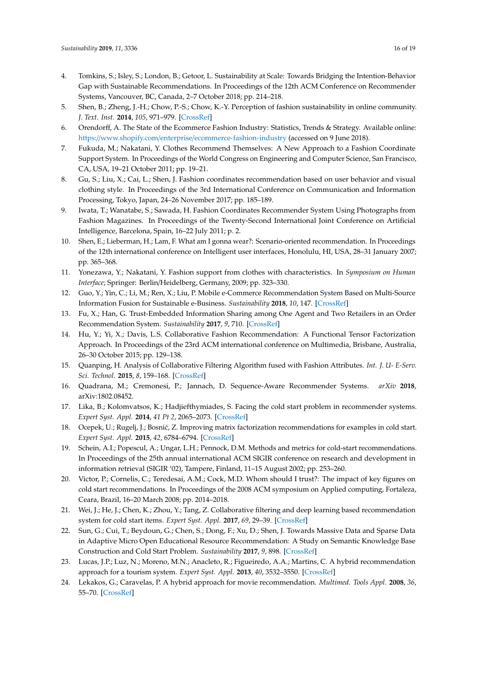- <span id="page-15-0"></span>4. Tomkins, S.; Isley, S.; London, B.; Getoor, L. Sustainability at Scale: Towards Bridging the Intention-Behavior Gap with Sustainable Recommendations. In Proceedings of the 12th ACM Conference on Recommender Systems, Vancouver, BC, Canada, 2–7 October 2018; pp. 214–218.
- <span id="page-15-1"></span>5. Shen, B.; Zheng, J.-H.; Chow, P.-S.; Chow, K.-Y. Perception of fashion sustainability in online community. *J. Text. Inst.* **2014**, *105*, 971–979. [\[CrossRef\]](http://dx.doi.org/10.1080/00405000.2013.866334)
- <span id="page-15-2"></span>6. Orendorff, A. The State of the Ecommerce Fashion Industry: Statistics, Trends & Strategy. Available online: https://www.shopify.com/enterprise/[ecommerce-fashion-industry](https://www.shopify.com/enterprise/ecommerce-fashion-industry) (accessed on 9 June 2018).
- <span id="page-15-3"></span>7. Fukuda, M.; Nakatani, Y. Clothes Recommend Themselves: A New Approach to a Fashion Coordinate Support System. In Proceedings of the World Congress on Engineering and Computer Science, San Francisco, CA, USA, 19–21 October 2011; pp. 19–21.
- <span id="page-15-16"></span>8. Gu, S.; Liu, X.; Cai, L.; Shen, J. Fashion coordinates recommendation based on user behavior and visual clothing style. In Proceedings of the 3rd International Conference on Communication and Information Processing, Tokyo, Japan, 24–26 November 2017; pp. 185–189.
- <span id="page-15-5"></span>9. Iwata, T.; Wanatabe, S.; Sawada, H. Fashion Coordinates Recommender System Using Photographs from Fashion Magazines. In Proceedings of the Twenty-Second International Joint Conference on Artificial Intelligence, Barcelona, Spain, 16–22 July 2011; p. 2.
- <span id="page-15-4"></span>10. Shen, E.; Lieberman, H.; Lam, F. What am I gonna wear?: Scenario-oriented recommendation. In Proceedings of the 12th international conference on Intelligent user interfaces, Honolulu, HI, USA, 28–31 January 2007; pp. 365–368.
- <span id="page-15-6"></span>11. Yonezawa, Y.; Nakatani, Y. Fashion support from clothes with characteristics. In *Symposium on Human Interface*; Springer: Berlin/Heidelberg, Germany, 2009; pp. 323–330.
- 12. Guo, Y.; Yin, C.; Li, M.; Ren, X.; Liu, P. Mobile e-Commerce Recommendation System Based on Multi-Source Information Fusion for Sustainable e-Business. *Sustainability* **2018**, *10*, 147. [\[CrossRef\]](http://dx.doi.org/10.3390/su10010147)
- 13. Fu, X.; Han, G. Trust-Embedded Information Sharing among One Agent and Two Retailers in an Order Recommendation System. *Sustainability* **2017**, *9*, 710. [\[CrossRef\]](http://dx.doi.org/10.3390/su9050710)
- <span id="page-15-7"></span>14. Hu, Y.; Yi, X.; Davis, L.S. Collaborative Fashion Recommendation: A Functional Tensor Factorization Approach. In Proceedings of the 23rd ACM international conference on Multimedia, Brisbane, Australia, 26–30 October 2015; pp. 129–138.
- <span id="page-15-8"></span>15. Quanping, H. Analysis of Collaborative Filtering Algorithm fused with Fashion Attributes. *Int. J. U- E-Serv. Sci. Technol.* **2015**, *8*, 159–168. [\[CrossRef\]](http://dx.doi.org/10.14257/ijunesst.2015.8.10.16)
- <span id="page-15-9"></span>16. Quadrana, M.; Cremonesi, P.; Jannach, D. Sequence-Aware Recommender Systems. *arXiv* **2018**, arXiv:1802.08452.
- <span id="page-15-10"></span>17. Lika, B.; Kolomvatsos, K.; Hadjiefthymiades, S. Facing the cold start problem in recommender systems. *Expert Syst. Appl.* **2014**, *41 Pt 2*, 2065–2073. [\[CrossRef\]](http://dx.doi.org/10.1016/j.eswa.2013.09.005)
- <span id="page-15-11"></span>18. Ocepek, U.; Rugelj, J.; Bosnić, Z. Improving matrix factorization recommendations for examples in cold start. *Expert Syst. Appl.* **2015**, *42*, 6784–6794. [\[CrossRef\]](http://dx.doi.org/10.1016/j.eswa.2015.04.071)
- <span id="page-15-14"></span>19. Schein, A.I.; Popescul, A.; Ungar, L.H.; Pennock, D.M. Methods and metrics for cold-start recommendations. In Proceedings of the 25th annual international ACM SIGIR conference on research and development in information retrieval (SIGIR '02), Tampere, Finland, 11–15 August 2002; pp. 253–260.
- 20. Victor, P.; Cornelis, C.; Teredesai, A.M.; Cock, M.D. Whom should I trust?: The impact of key figures on cold start recommendations. In Proceedings of the 2008 ACM symposium on Applied computing, Fortaleza, Ceara, Brazil, 16–20 March 2008; pp. 2014–2018.
- 21. Wei, J.; He, J.; Chen, K.; Zhou, Y.; Tang, Z. Collaborative filtering and deep learning based recommendation system for cold start items. *Expert Syst. Appl.* **2017**, *69*, 29–39. [\[CrossRef\]](http://dx.doi.org/10.1016/j.eswa.2016.09.040)
- <span id="page-15-15"></span>22. Sun, G.; Cui, T.; Beydoun, G.; Chen, S.; Dong, F.; Xu, D.; Shen, J. Towards Massive Data and Sparse Data in Adaptive Micro Open Educational Resource Recommendation: A Study on Semantic Knowledge Base Construction and Cold Start Problem. *Sustainability* **2017**, *9*, 898. [\[CrossRef\]](http://dx.doi.org/10.3390/su9060898)
- <span id="page-15-12"></span>23. Lucas, J.P.; Luz, N.; Moreno, M.N.; Anacleto, R.; Figueiredo, A.A.; Martins, C. A hybrid recommendation approach for a tourism system. *Expert Syst. Appl.* **2013**, *40*, 3532–3550. [\[CrossRef\]](http://dx.doi.org/10.1016/j.eswa.2012.12.061)
- <span id="page-15-13"></span>24. Lekakos, G.; Caravelas, P. A hybrid approach for movie recommendation. *Multimed. Tools Appl.* **2008**, *36*, 55–70. [\[CrossRef\]](http://dx.doi.org/10.1007/s11042-006-0082-7)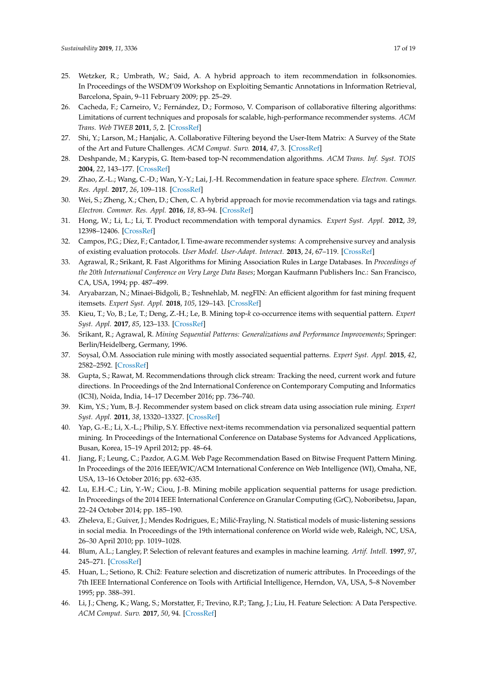- 25. Wetzker, R.; Umbrath, W.; Said, A. A hybrid approach to item recommendation in folksonomies. In Proceedings of the WSDM'09 Workshop on Exploiting Semantic Annotations in Information Retrieval, Barcelona, Spain, 9–11 February 2009; pp. 25–29.
- <span id="page-16-0"></span>26. Cacheda, F.; Carneiro, V.; Fernández, D.; Formoso, V. Comparison of collaborative filtering algorithms: Limitations of current techniques and proposals for scalable, high-performance recommender systems. *ACM Trans. Web TWEB* **2011**, *5*, 2. [\[CrossRef\]](http://dx.doi.org/10.1145/1921591.1921593)
- <span id="page-16-1"></span>27. Shi, Y.; Larson, M.; Hanjalic, A. Collaborative Filtering beyond the User-Item Matrix: A Survey of the State of the Art and Future Challenges. *ACM Comput. Surv.* **2014**, *47*, 3. [\[CrossRef\]](http://dx.doi.org/10.1145/2556270)
- <span id="page-16-2"></span>28. Deshpande, M.; Karypis, G. Item-based top-N recommendation algorithms. *ACM Trans. Inf. Syst. TOIS* **2004**, *22*, 143–177. [\[CrossRef\]](http://dx.doi.org/10.1145/963770.963776)
- <span id="page-16-3"></span>29. Zhao, Z.-L.; Wang, C.-D.; Wan, Y.-Y.; Lai, J.-H. Recommendation in feature space sphere. *Electron. Commer. Res. Appl.* **2017**, *26*, 109–118. [\[CrossRef\]](http://dx.doi.org/10.1016/j.elerap.2017.10.007)
- <span id="page-16-4"></span>30. Wei, S.; Zheng, X.; Chen, D.; Chen, C. A hybrid approach for movie recommendation via tags and ratings. *Electron. Commer. Res. Appl.* **2016**, *18*, 83–94. [\[CrossRef\]](http://dx.doi.org/10.1016/j.elerap.2016.01.003)
- <span id="page-16-5"></span>31. Hong, W.; Li, L.; Li, T. Product recommendation with temporal dynamics. *Expert Syst. Appl.* **2012**, *39*, 12398–12406. [\[CrossRef\]](http://dx.doi.org/10.1016/j.eswa.2012.04.082)
- <span id="page-16-6"></span>32. Campos, P.G.; Díez, F.; Cantador, I. Time-aware recommender systems: A comprehensive survey and analysis of existing evaluation protocols. *User Model. User-Adapt. Interact.* **2013**, *24*, 67–119. [\[CrossRef\]](http://dx.doi.org/10.1007/s11257-012-9136-x)
- <span id="page-16-7"></span>33. Agrawal, R.; Srikant, R. Fast Algorithms for Mining Association Rules in Large Databases. In *Proceedings of the 20th International Conference on Very Large Data Bases*; Morgan Kaufmann Publishers Inc.: San Francisco, CA, USA, 1994; pp. 487–499.
- <span id="page-16-8"></span>34. Aryabarzan, N.; Minaei-Bidgoli, B.; Teshnehlab, M. negFIN: An efficient algorithm for fast mining frequent itemsets. *Expert Syst. Appl.* **2018**, *105*, 129–143. [\[CrossRef\]](http://dx.doi.org/10.1016/j.eswa.2018.03.041)
- <span id="page-16-9"></span>35. Kieu, T.; Vo, B.; Le, T.; Deng, Z.-H.; Le, B. Mining top-*k* co-occurrence items with sequential pattern. *Expert Syst. Appl.* **2017**, *85*, 123–133. [\[CrossRef\]](http://dx.doi.org/10.1016/j.eswa.2017.05.021)
- <span id="page-16-10"></span>36. Srikant, R.; Agrawal, R. *Mining Sequential Patterns: Generalizations and Performance Improvements*; Springer: Berlin/Heidelberg, Germany, 1996.
- 37. Soysal, Ö.M. Association rule mining with mostly associated sequential patterns. *Expert Syst. Appl.* **2015**, *42*, 2582–2592. [\[CrossRef\]](http://dx.doi.org/10.1016/j.eswa.2014.10.049)
- <span id="page-16-11"></span>38. Gupta, S.; Rawat, M. Recommendations through click stream: Tracking the need, current work and future directions. In Proceedings of the 2nd International Conference on Contemporary Computing and Informatics (IC3I), Noida, India, 14–17 December 2016; pp. 736–740.
- <span id="page-16-12"></span>39. Kim, Y.S.; Yum, B.-J. Recommender system based on click stream data using association rule mining. *Expert Syst. Appl.* **2011**, *38*, 13320–13327. [\[CrossRef\]](http://dx.doi.org/10.1016/j.eswa.2011.04.154)
- <span id="page-16-13"></span>40. Yap, G.-E.; Li, X.-L.; Philip, S.Y. Effective next-items recommendation via personalized sequential pattern mining. In Proceedings of the International Conference on Database Systems for Advanced Applications, Busan, Korea, 15–19 April 2012; pp. 48–64.
- <span id="page-16-14"></span>41. Jiang, F.; Leung, C.; Pazdor, A.G.M. Web Page Recommendation Based on Bitwise Frequent Pattern Mining. In Proceedings of the 2016 IEEE/WIC/ACM International Conference on Web Intelligence (WI), Omaha, NE, USA, 13–16 October 2016; pp. 632–635.
- <span id="page-16-15"></span>42. Lu, E.H.-C.; Lin, Y.-W.; Ciou, J.-B. Mining mobile application sequential patterns for usage prediction. In Proceedings of the 2014 IEEE International Conference on Granular Computing (GrC), Noboribetsu, Japan, 22–24 October 2014; pp. 185–190.
- <span id="page-16-16"></span>43. Zheleva, E.; Guiver, J.; Mendes Rodrigues, E.; Milić-Frayling, N. Statistical models of music-listening sessions in social media. In Proceedings of the 19th international conference on World wide web, Raleigh, NC, USA, 26–30 April 2010; pp. 1019–1028.
- <span id="page-16-17"></span>44. Blum, A.L.; Langley, P. Selection of relevant features and examples in machine learning. *Artif. Intell.* **1997**, *97*, 245–271. [\[CrossRef\]](http://dx.doi.org/10.1016/S0004-3702(97)00063-5)
- <span id="page-16-18"></span>45. Huan, L.; Setiono, R. Chi2: Feature selection and discretization of numeric attributes. In Proceedings of the 7th IEEE International Conference on Tools with Artificial Intelligence, Herndon, VA, USA, 5–8 November 1995; pp. 388–391.
- <span id="page-16-19"></span>46. Li, J.; Cheng, K.; Wang, S.; Morstatter, F.; Trevino, R.P.; Tang, J.; Liu, H. Feature Selection: A Data Perspective. *ACM Comput. Surv.* **2017**, *50*, 94. [\[CrossRef\]](http://dx.doi.org/10.1145/3136625)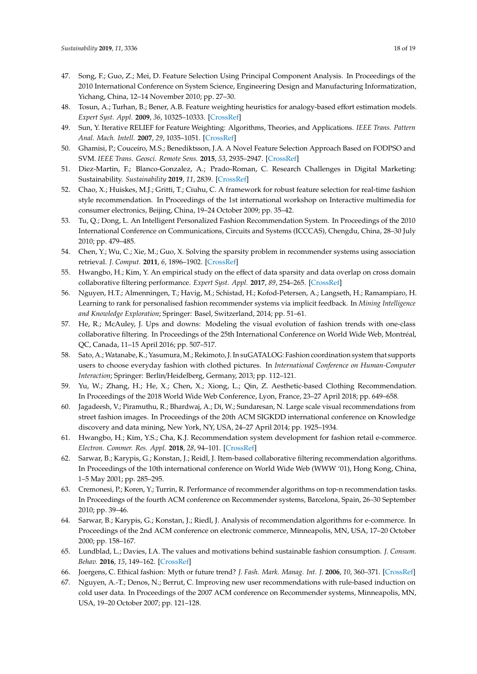- <span id="page-17-0"></span>47. Song, F.; Guo, Z.; Mei, D. Feature Selection Using Principal Component Analysis. In Proceedings of the 2010 International Conference on System Science, Engineering Design and Manufacturing Informatization, Yichang, China, 12–14 November 2010; pp. 27–30.
- <span id="page-17-1"></span>48. Tosun, A.; Turhan, B.; Bener, A.B. Feature weighting heuristics for analogy-based effort estimation models. *Expert Syst. Appl.* **2009**, *36*, 10325–10333. [\[CrossRef\]](http://dx.doi.org/10.1016/j.eswa.2009.01.079)
- <span id="page-17-2"></span>49. Sun, Y. Iterative RELIEF for Feature Weighting: Algorithms, Theories, and Applications. *IEEE Trans. Pattern Anal. Mach. Intell.* **2007**, *29*, 1035–1051. [\[CrossRef\]](http://dx.doi.org/10.1109/TPAMI.2007.1093)
- <span id="page-17-3"></span>50. Ghamisi, P.; Couceiro, M.S.; Benediktsson, J.A. A Novel Feature Selection Approach Based on FODPSO and SVM. *IEEE Trans. Geosci. Remote Sens.* **2015**, *53*, 2935–2947. [\[CrossRef\]](http://dx.doi.org/10.1109/TGRS.2014.2367010)
- <span id="page-17-4"></span>51. Diez-Martin, F.; Blanco-Gonzalez, A.; Prado-Roman, C. Research Challenges in Digital Marketing: Sustainability. *Sustainability* **2019**, *11*, 2839. [\[CrossRef\]](http://dx.doi.org/10.3390/su11102839)
- <span id="page-17-5"></span>52. Chao, X.; Huiskes, M.J.; Gritti, T.; Ciuhu, C. A framework for robust feature selection for real-time fashion style recommendation. In Proceedings of the 1st international workshop on Interactive multimedia for consumer electronics, Beijing, China, 19–24 October 2009; pp. 35–42.
- <span id="page-17-6"></span>53. Tu, Q.; Dong, L. An Intelligent Personalized Fashion Recommendation System. In Proceedings of the 2010 International Conference on Communications, Circuits and Systems (ICCCAS), Chengdu, China, 28–30 July 2010; pp. 479–485.
- 54. Chen, Y.; Wu, C.; Xie, M.; Guo, X. Solving the sparsity problem in recommender systems using association retrieval. *J. Comput.* **2011**, *6*, 1896–1902. [\[CrossRef\]](http://dx.doi.org/10.4304/jcp.6.9.1896-1902)
- 55. Hwangbo, H.; Kim, Y. An empirical study on the effect of data sparsity and data overlap on cross domain collaborative filtering performance. *Expert Syst. Appl.* **2017**, *89*, 254–265. [\[CrossRef\]](http://dx.doi.org/10.1016/j.eswa.2017.07.041)
- 56. Nguyen, H.T.; Almenningen, T.; Havig, M.; Schistad, H.; Kofod-Petersen, A.; Langseth, H.; Ramampiaro, H. Learning to rank for personalised fashion recommender systems via implicit feedback. In *Mining Intelligence and Knowledge Exploration*; Springer: Basel, Switzerland, 2014; pp. 51–61.
- 57. He, R.; McAuley, J. Ups and downs: Modeling the visual evolution of fashion trends with one-class collaborative filtering. In Proceedings of the 25th International Conference on World Wide Web, Montréal, QC, Canada, 11–15 April 2016; pp. 507–517.
- <span id="page-17-7"></span>58. Sato, A.; Watanabe, K.; Yasumura, M.; Rekimoto, J. In suGATALOG: Fashion coordination system that supports users to choose everyday fashion with clothed pictures. In *International Conference on Human-Computer Interaction*; Springer: Berlin/Heidelberg, Germany, 2013; pp. 112–121.
- <span id="page-17-8"></span>59. Yu, W.; Zhang, H.; He, X.; Chen, X.; Xiong, L.; Qin, Z. Aesthetic-based Clothing Recommendation. In Proceedings of the 2018 World Wide Web Conference, Lyon, France, 23–27 April 2018; pp. 649–658.
- <span id="page-17-10"></span>60. Jagadeesh, V.; Piramuthu, R.; Bhardwaj, A.; Di, W.; Sundaresan, N. Large scale visual recommendations from street fashion images. In Proceedings of the 20th ACM SIGKDD international conference on Knowledge discovery and data mining, New York, NY, USA, 24–27 April 2014; pp. 1925–1934.
- <span id="page-17-9"></span>61. Hwangbo, H.; Kim, Y.S.; Cha, K.J. Recommendation system development for fashion retail e-commerce. *Electron. Commer. Res. Appl.* **2018**, *28*, 94–101. [\[CrossRef\]](http://dx.doi.org/10.1016/j.elerap.2018.01.012)
- <span id="page-17-11"></span>62. Sarwar, B.; Karypis, G.; Konstan, J.; Reidl, J. Item-based collaborative filtering recommendation algorithms. In Proceedings of the 10th international conference on World Wide Web (WWW '01), Hong Kong, China, 1–5 May 2001; pp. 285–295.
- <span id="page-17-12"></span>63. Cremonesi, P.; Koren, Y.; Turrin, R. Performance of recommender algorithms on top-n recommendation tasks. In Proceedings of the fourth ACM conference on Recommender systems, Barcelona, Spain, 26–30 September 2010; pp. 39–46.
- <span id="page-17-13"></span>64. Sarwar, B.; Karypis, G.; Konstan, J.; Riedl, J. Analysis of recommendation algorithms for e-commerce. In Proceedings of the 2nd ACM conference on electronic commerce, Minneapolis, MN, USA, 17–20 October 2000; pp. 158–167.
- <span id="page-17-14"></span>65. Lundblad, L.; Davies, I.A. The values and motivations behind sustainable fashion consumption. *J. Consum. Behav.* **2016**, *15*, 149–162. [\[CrossRef\]](http://dx.doi.org/10.1002/cb.1559)
- <span id="page-17-15"></span>66. Joergens, C. Ethical fashion: Myth or future trend? *J. Fash. Mark. Manag. Int. J.* **2006**, *10*, 360–371. [\[CrossRef\]](http://dx.doi.org/10.1108/13612020610679321)
- <span id="page-17-16"></span>67. Nguyen, A.-T.; Denos, N.; Berrut, C. Improving new user recommendations with rule-based induction on cold user data. In Proceedings of the 2007 ACM conference on Recommender systems, Minneapolis, MN, USA, 19–20 October 2007; pp. 121–128.